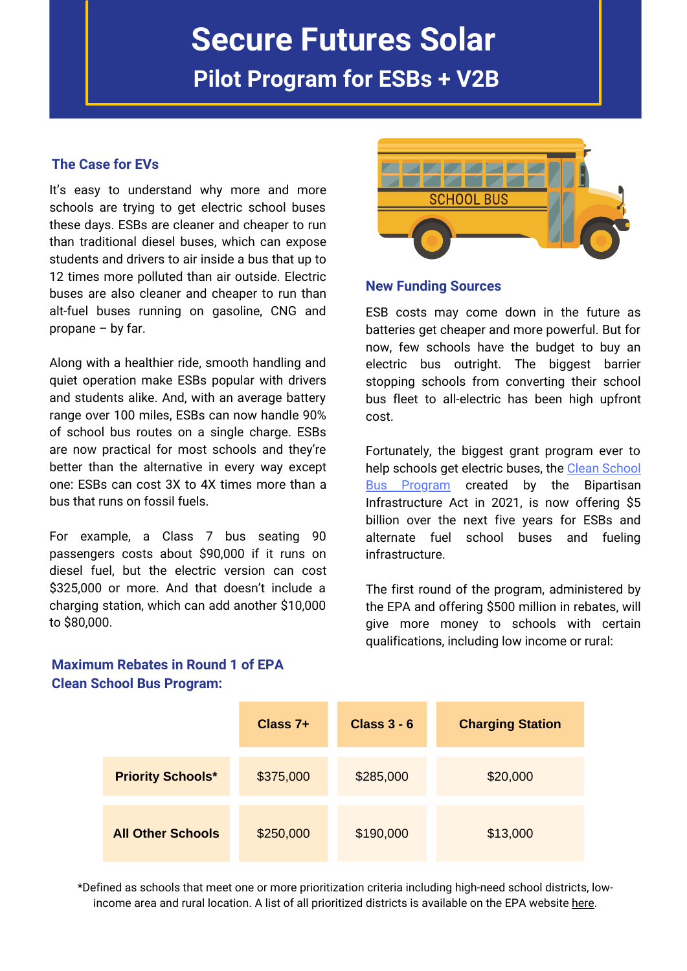# **Secure Futures Solar**

**Pilot Program for ESBs + V2B**

## **The Case for EVs**

It's easy to understand why more and more schools are trying to get electric school buses these days. ESBs are cleaner and cheaper to run than traditional diesel buses, which can expose students and drivers to air inside a bus that up to 12 times more polluted than air outside. Electric buses are also cleaner and cheaper to run than alt-fuel buses running on gasoline, CNG and propane – by far.

Along with a healthier ride, smooth handling and quiet operation make ESBs popular with drivers and students alike. And, with an average battery range over 100 miles, ESBs can now handle 90% of school bus routes on a single charge. ESBs are now practical for most schools and they're better than the alternative in every way except one: ESBs can cost 3X to 4X times more than a bus that runs on fossil fuels.

For example, a Class 7 bus seating 90 passengers costs about \$90,000 if it runs on diesel fuel, but the electric version can cost \$325,000 or more. And that doesn't include a charging station, which can add another \$10,000 to \$80,000.



#### **New Funding Sources**

ESB costs may come down in the future as batteries get cheaper and more powerful. But for now, few schools have the budget to buy an electric bus outright. The biggest barrier stopping schools from converting their school bus fleet to all-electric has been high upfront cost.

Fortunately, the biggest grant program ever to help schools get electric buses, the Clean School **Bus Program created by the [Bipartisan](https://www.epa.gov/cleanschoolbus/school-bus-rebates-clean-school-bus-program)** Infrastructure Act in 2021, is now offering \$5 billion over the next five years for ESBs and alternate fuel school buses and fueling infrastructure.

The first round of the program, administered by the EPA and offering \$500 million in rebates, will give more money to schools with certain qualifications, including low income or rural:



## **Maximum Rebates in Round 1 of EPA Clean School Bus Program:**

\*Defined as schools that meet one or more prioritization criteria including high-need school districts, lowincome area and rural location. A list of all prioritized districts is available on the EPA website [here.](https://www.epa.gov/system/files/documents/2022-05/2022-csb-rebates-prioritized-school-districts-2022-05.pdf)